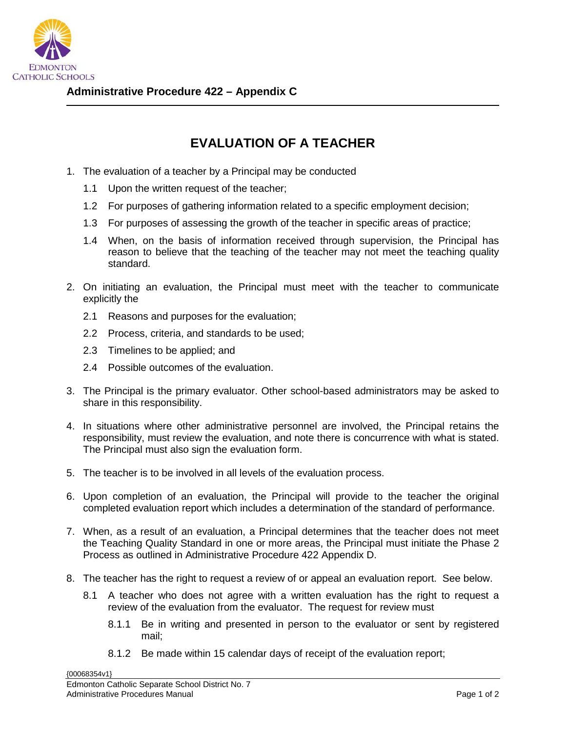

## **EVALUATION OF A TEACHER**

- 1. The evaluation of a teacher by a Principal may be conducted
	- 1.1 Upon the written request of the teacher;
	- 1.2 For purposes of gathering information related to a specific employment decision;
	- 1.3 For purposes of assessing the growth of the teacher in specific areas of practice;
	- 1.4 When, on the basis of information received through supervision, the Principal has reason to believe that the teaching of the teacher may not meet the teaching quality standard.
- 2. On initiating an evaluation, the Principal must meet with the teacher to communicate explicitly the
	- 2.1 Reasons and purposes for the evaluation;
	- 2.2 Process, criteria, and standards to be used;
	- 2.3 Timelines to be applied; and
	- 2.4 Possible outcomes of the evaluation.
- 3. The Principal is the primary evaluator. Other school-based administrators may be asked to share in this responsibility.
- 4. In situations where other administrative personnel are involved, the Principal retains the responsibility, must review the evaluation, and note there is concurrence with what is stated. The Principal must also sign the evaluation form.
- 5. The teacher is to be involved in all levels of the evaluation process.
- 6. Upon completion of an evaluation, the Principal will provide to the teacher the original completed evaluation report which includes a determination of the standard of performance.
- 7. When, as a result of an evaluation, a Principal determines that the teacher does not meet the Teaching Quality Standard in one or more areas, the Principal must initiate the Phase 2 Process as outlined in Administrative Procedure 422 Appendix D.
- 8. The teacher has the right to request a review of or appeal an evaluation report. See below.
	- 8.1 A teacher who does not agree with a written evaluation has the right to request a review of the evaluation from the evaluator. The request for review must
		- 8.1.1 Be in writing and presented in person to the evaluator or sent by registered mail;
		- 8.1.2 Be made within 15 calendar days of receipt of the evaluation report;

{00068354v1}